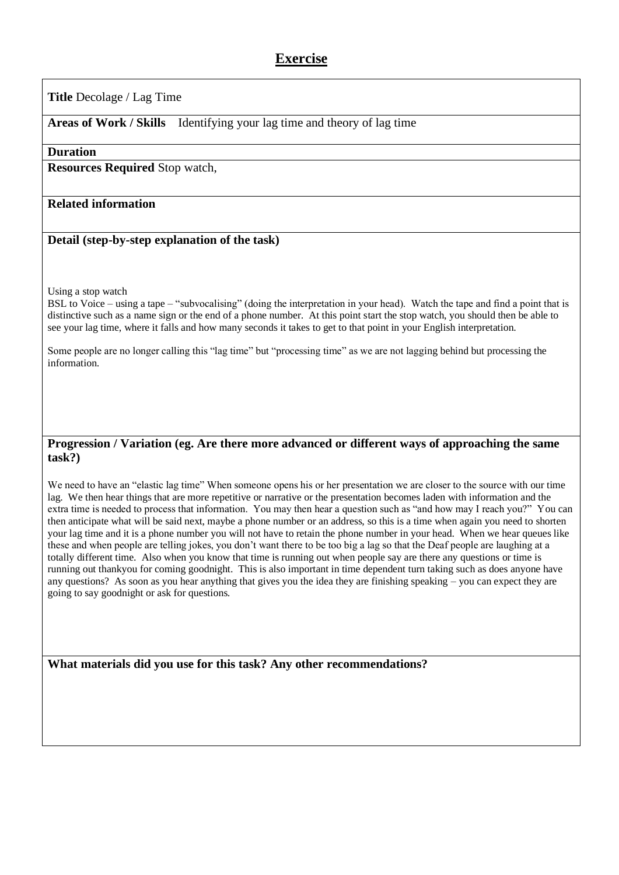# **Exercise**

**Title** Decolage / Lag Time

**Areas of Work / Skills** Identifying your lag time and theory of lag time

#### **Duration**

**Resources Required** Stop watch,

## **Related information**

### **Detail (step-by-step explanation of the task)**

Using a stop watch

BSL to Voice – using a tape – "subvocalising" (doing the interpretation in your head). Watch the tape and find a point that is distinctive such as a name sign or the end of a phone number. At this point start the stop watch, you should then be able to see your lag time, where it falls and how many seconds it takes to get to that point in your English interpretation.

Some people are no longer calling this "lag time" but "processing time" as we are not lagging behind but processing the information.

## **Progression / Variation (eg. Are there more advanced or different ways of approaching the same task?)**

We need to have an "elastic lag time" When someone opens his or her presentation we are closer to the source with our time lag. We then hear things that are more repetitive or narrative or the presentation becomes laden with information and the extra time is needed to process that information. You may then hear a question such as "and how may I reach you?" You can then anticipate what will be said next, maybe a phone number or an address, so this is a time when again you need to shorten your lag time and it is a phone number you will not have to retain the phone number in your head. When we hear queues like these and when people are telling jokes, you don't want there to be too big a lag so that the Deaf people are laughing at a totally different time. Also when you know that time is running out when people say are there any questions or time is running out thankyou for coming goodnight. This is also important in time dependent turn taking such as does anyone have any questions? As soon as you hear anything that gives you the idea they are finishing speaking – you can expect they are going to say goodnight or ask for questions.

**What materials did you use for this task? Any other recommendations?**